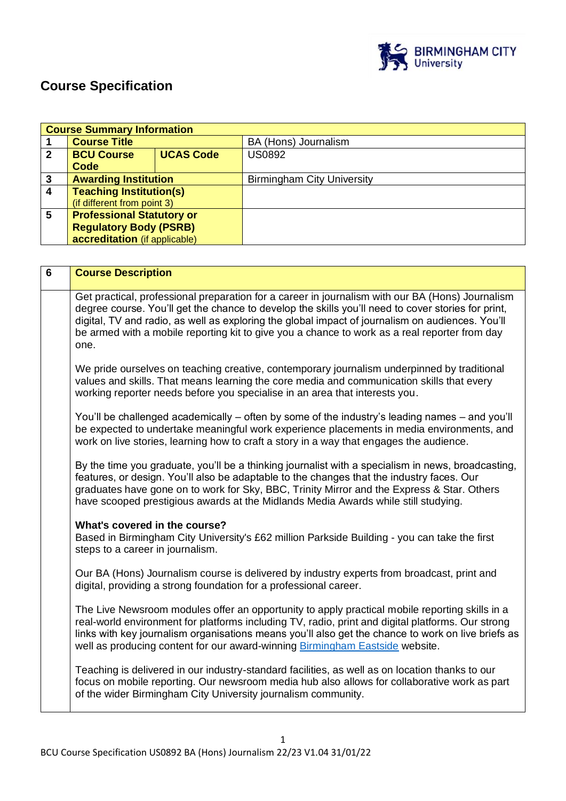

# **Course Specification**

|                | <b>Course Summary Information</b> |                  |                                   |  |
|----------------|-----------------------------------|------------------|-----------------------------------|--|
|                | <b>Course Title</b>               |                  | BA (Hons) Journalism              |  |
| $\mathbf{2}$   | <b>BCU Course</b>                 | <b>UCAS Code</b> | <b>US0892</b>                     |  |
|                | Code                              |                  |                                   |  |
| 3              | <b>Awarding Institution</b>       |                  | <b>Birmingham City University</b> |  |
| $\overline{4}$ | <b>Teaching Institution(s)</b>    |                  |                                   |  |
|                | (if different from point 3)       |                  |                                   |  |
| 5              | <b>Professional Statutory or</b>  |                  |                                   |  |
|                | <b>Regulatory Body (PSRB)</b>     |                  |                                   |  |
|                | accreditation (if applicable)     |                  |                                   |  |

| $6\phantom{a}$ | <b>Course Description</b>                                                                                                                                                                                                                                                                                                                                                                                           |
|----------------|---------------------------------------------------------------------------------------------------------------------------------------------------------------------------------------------------------------------------------------------------------------------------------------------------------------------------------------------------------------------------------------------------------------------|
|                | Get practical, professional preparation for a career in journalism with our BA (Hons) Journalism<br>degree course. You'll get the chance to develop the skills you'll need to cover stories for print,<br>digital, TV and radio, as well as exploring the global impact of journalism on audiences. You'll<br>be armed with a mobile reporting kit to give you a chance to work as a real reporter from day<br>one. |
|                | We pride ourselves on teaching creative, contemporary journalism underpinned by traditional<br>values and skills. That means learning the core media and communication skills that every<br>working reporter needs before you specialise in an area that interests you.                                                                                                                                             |
|                | You'll be challenged academically – often by some of the industry's leading names – and you'll<br>be expected to undertake meaningful work experience placements in media environments, and<br>work on live stories, learning how to craft a story in a way that engages the audience.                                                                                                                              |
|                | By the time you graduate, you'll be a thinking journalist with a specialism in news, broadcasting,<br>features, or design. You'll also be adaptable to the changes that the industry faces. Our<br>graduates have gone on to work for Sky, BBC, Trinity Mirror and the Express & Star. Others<br>have scooped prestigious awards at the Midlands Media Awards while still studying.                                 |
|                | What's covered in the course?<br>Based in Birmingham City University's £62 million Parkside Building - you can take the first<br>steps to a career in journalism.                                                                                                                                                                                                                                                   |
|                | Our BA (Hons) Journalism course is delivered by industry experts from broadcast, print and<br>digital, providing a strong foundation for a professional career.                                                                                                                                                                                                                                                     |
|                | The Live Newsroom modules offer an opportunity to apply practical mobile reporting skills in a<br>real-world environment for platforms including TV, radio, print and digital platforms. Our strong<br>links with key journalism organisations means you'll also get the chance to work on live briefs as<br>well as producing content for our award-winning Birmingham Eastside website.                           |
|                | Teaching is delivered in our industry-standard facilities, as well as on location thanks to our<br>focus on mobile reporting. Our newsroom media hub also allows for collaborative work as part<br>of the wider Birmingham City University journalism community.                                                                                                                                                    |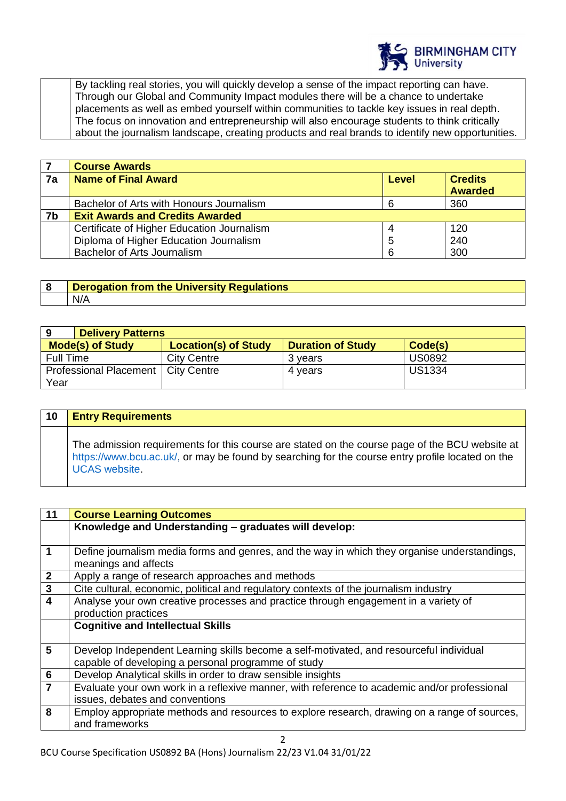

By tackling real stories, you will quickly develop a sense of the impact reporting can have. Through our Global and Community Impact modules there will be a chance to undertake placements as well as embed yourself within communities to tackle key issues in real depth. The focus on innovation and entrepreneurship will also encourage students to think critically about the journalism landscape, creating products and real brands to identify new opportunities.

|    | <b>Course Awards</b>                       |              |                                  |
|----|--------------------------------------------|--------------|----------------------------------|
| 7a | <b>Name of Final Award</b>                 | <b>Level</b> | <b>Credits</b><br><b>Awarded</b> |
|    |                                            |              |                                  |
|    | Bachelor of Arts with Honours Journalism   |              | 360                              |
| 7b | <b>Exit Awards and Credits Awarded</b>     |              |                                  |
|    | Certificate of Higher Education Journalism | 4            | 120                              |
|    | Diploma of Higher Education Journalism     | 5            | 240                              |
|    | Bachelor of Arts Journalism                | 6            | 300                              |

| <b>Derogation from the University Regulations</b> |
|---------------------------------------------------|
| N/A                                               |

| <b>Delivery Patterns</b><br>9                                                                 |                    |         |               |
|-----------------------------------------------------------------------------------------------|--------------------|---------|---------------|
| <b>Mode(s) of Study</b><br><b>Location(s) of Study</b><br><b>Duration of Study</b><br>Code(s) |                    |         |               |
| Full Time                                                                                     | <b>City Centre</b> | 3 vears | <b>US0892</b> |
| Professional Placement   City Centre                                                          |                    | 4 vears | <b>US1334</b> |
| Year                                                                                          |                    |         |               |

| 10 | <b>Entry Requirements</b>                                                                                                                                                                                                  |
|----|----------------------------------------------------------------------------------------------------------------------------------------------------------------------------------------------------------------------------|
|    | The admission requirements for this course are stated on the course page of the BCU website at<br>https://www.bcu.ac.uk/, or may be found by searching for the course entry profile located on the<br><b>UCAS</b> website. |

| 11                      | <b>Course Learning Outcomes</b>                                                                                      |
|-------------------------|----------------------------------------------------------------------------------------------------------------------|
|                         | Knowledge and Understanding - graduates will develop:                                                                |
|                         |                                                                                                                      |
| 1                       | Define journalism media forms and genres, and the way in which they organise understandings,<br>meanings and affects |
| $\boldsymbol{2}$        | Apply a range of research approaches and methods                                                                     |
| $\mathbf{3}$            | Cite cultural, economic, political and regulatory contexts of the journalism industry                                |
| $\overline{\mathbf{4}}$ | Analyse your own creative processes and practice through engagement in a variety of                                  |
|                         | production practices                                                                                                 |
|                         | <b>Cognitive and Intellectual Skills</b>                                                                             |
|                         |                                                                                                                      |
| 5                       | Develop Independent Learning skills become a self-motivated, and resourceful individual                              |
|                         | capable of developing a personal programme of study                                                                  |
| $\bf 6$                 | Develop Analytical skills in order to draw sensible insights                                                         |
| $\overline{7}$          | Evaluate your own work in a reflexive manner, with reference to academic and/or professional                         |
|                         | issues, debates and conventions                                                                                      |
| 8                       | Employ appropriate methods and resources to explore research, drawing on a range of sources,                         |
|                         | and frameworks                                                                                                       |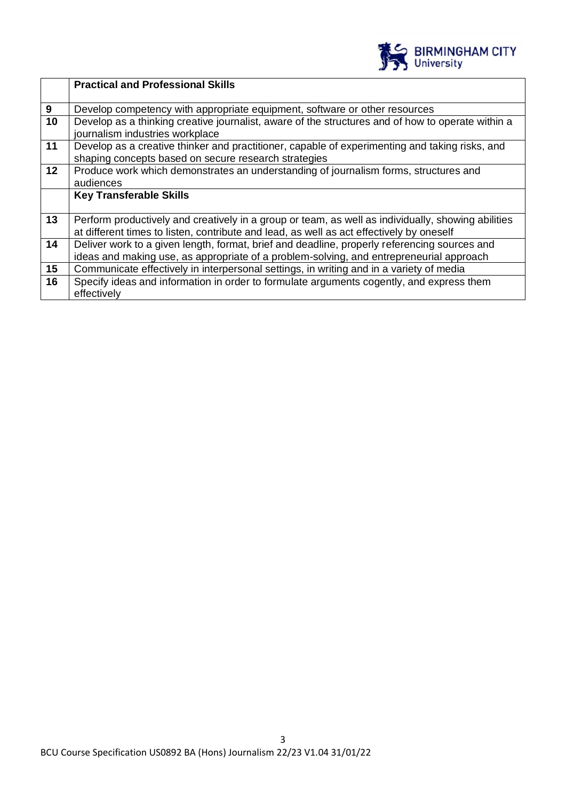

|    | <b>Practical and Professional Skills</b>                                                                                                                                                       |
|----|------------------------------------------------------------------------------------------------------------------------------------------------------------------------------------------------|
| 9  | Develop competency with appropriate equipment, software or other resources                                                                                                                     |
| 10 | Develop as a thinking creative journalist, aware of the structures and of how to operate within a<br>journalism industries workplace                                                           |
| 11 | Develop as a creative thinker and practitioner, capable of experimenting and taking risks, and<br>shaping concepts based on secure research strategies                                         |
| 12 | Produce work which demonstrates an understanding of journalism forms, structures and<br>audiences                                                                                              |
|    | <b>Key Transferable Skills</b>                                                                                                                                                                 |
| 13 | Perform productively and creatively in a group or team, as well as individually, showing abilities<br>at different times to listen, contribute and lead, as well as act effectively by oneself |
| 14 | Deliver work to a given length, format, brief and deadline, properly referencing sources and<br>ideas and making use, as appropriate of a problem-solving, and entrepreneurial approach        |
| 15 | Communicate effectively in interpersonal settings, in writing and in a variety of media                                                                                                        |
| 16 | Specify ideas and information in order to formulate arguments cogently, and express them<br>effectively                                                                                        |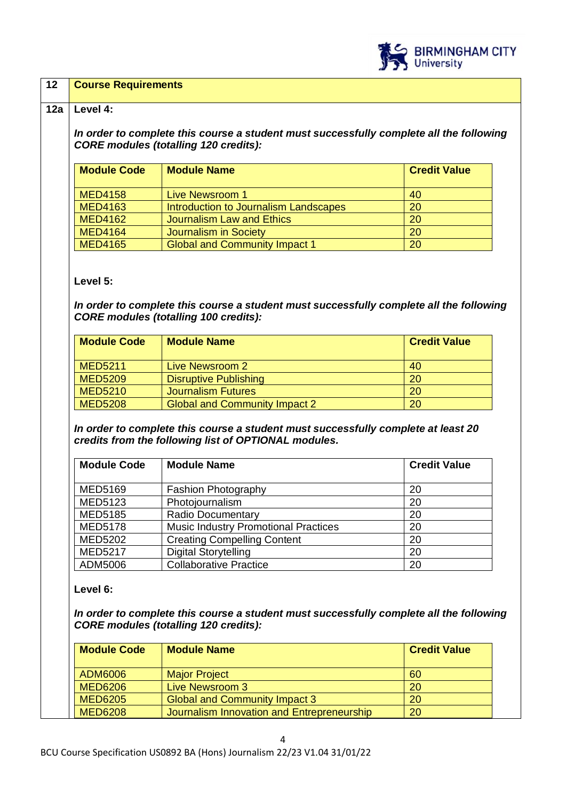

## **12 Course Requirements**

## **12a Level 4:**

*In order to complete this course a student must successfully complete all the following CORE modules (totalling 120 credits):*

| <b>Module Code</b> | <b>Module Name</b>                    | <b>Credit Value</b> |
|--------------------|---------------------------------------|---------------------|
| <b>MED4158</b>     | Live Newsroom 1                       | 40                  |
| <b>MED4163</b>     | Introduction to Journalism Landscapes | 20                  |
| <b>MED4162</b>     | Journalism Law and Ethics             | 20                  |
| <b>MED4164</b>     | Journalism in Society                 | 20                  |
| <b>MED4165</b>     | <b>Global and Community Impact 1</b>  | 20                  |

## **Level 5:**

*In order to complete this course a student must successfully complete all the following CORE modules (totalling 100 credits):*

| <b>Module Code</b> | <b>Module Name</b>                   | <b>Credit Value</b> |
|--------------------|--------------------------------------|---------------------|
| <b>MED5211</b>     | Live Newsroom 2                      | 40                  |
| <b>MED5209</b>     | <b>Disruptive Publishing</b>         | <b>20</b>           |
| <b>MED5210</b>     | <b>Journalism Futures</b>            | <b>20</b>           |
| <b>MED5208</b>     | <b>Global and Community Impact 2</b> | 20                  |

*In order to complete this course a student must successfully complete at least 20 credits from the following list of OPTIONAL modules.* 

| <b>Module Code</b> | <b>Module Name</b>                          | <b>Credit Value</b> |
|--------------------|---------------------------------------------|---------------------|
|                    |                                             |                     |
| <b>MED5169</b>     | <b>Fashion Photography</b>                  | 20                  |
| <b>MED5123</b>     | Photojournalism                             | 20                  |
| <b>MED5185</b>     | <b>Radio Documentary</b>                    | 20                  |
| <b>MED5178</b>     | <b>Music Industry Promotional Practices</b> | 20                  |
| <b>MED5202</b>     | <b>Creating Compelling Content</b>          | 20                  |
| <b>MED5217</b>     | <b>Digital Storytelling</b>                 | 20                  |
| ADM5006            | <b>Collaborative Practice</b>               | 20                  |

**Level 6:**

*In order to complete this course a student must successfully complete all the following CORE modules (totalling 120 credits):*

| <b>Module Code</b> | <b>Module Name</b>                         | <b>Credit Value</b> |
|--------------------|--------------------------------------------|---------------------|
| ADM6006            | <b>Major Project</b>                       | -60                 |
| <b>MED6206</b>     | Live Newsroom 3                            | 20                  |
| <b>MED6205</b>     | <b>Global and Community Impact 3</b>       | 20                  |
| <b>MED6208</b>     | Journalism Innovation and Entrepreneurship | 20                  |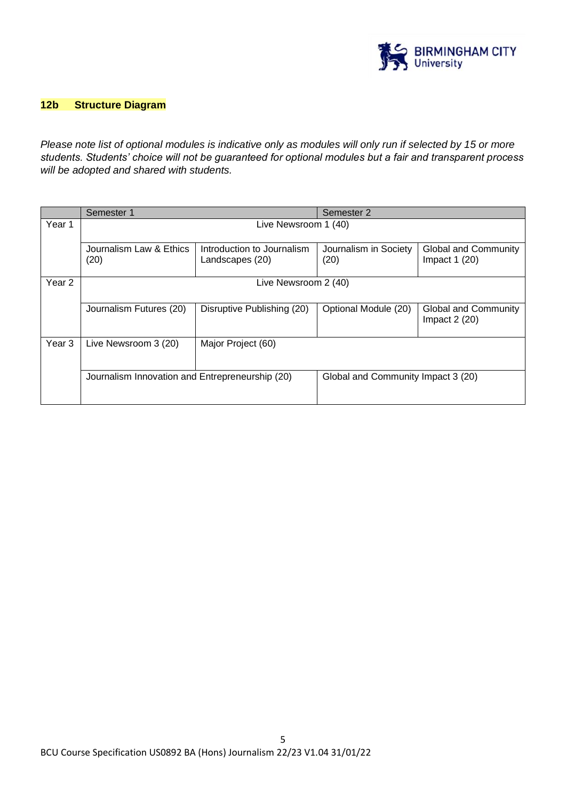

# **12b Structure Diagram**

*Please note list of optional modules is indicative only as modules will only run if selected by 15 or more students. Students' choice will not be guaranteed for optional modules but a fair and transparent process will be adopted and shared with students.*

|        | Semester 1                                      |                                               | Semester 2                         |                                               |
|--------|-------------------------------------------------|-----------------------------------------------|------------------------------------|-----------------------------------------------|
| Year 1 | Live Newsroom 1 (40)                            |                                               |                                    |                                               |
|        | Journalism Law & Ethics<br>(20)                 | Introduction to Journalism<br>Landscapes (20) | Journalism in Society<br>(20)      | <b>Global and Community</b><br>Impact $1(20)$ |
| Year 2 | Live Newsroom 2 (40)                            |                                               |                                    |                                               |
|        | Journalism Futures (20)                         | Disruptive Publishing (20)                    | Optional Module (20)               | <b>Global and Community</b><br>Impact $2(20)$ |
| Year 3 | Live Newsroom 3 (20)                            | Major Project (60)                            |                                    |                                               |
|        | Journalism Innovation and Entrepreneurship (20) |                                               | Global and Community Impact 3 (20) |                                               |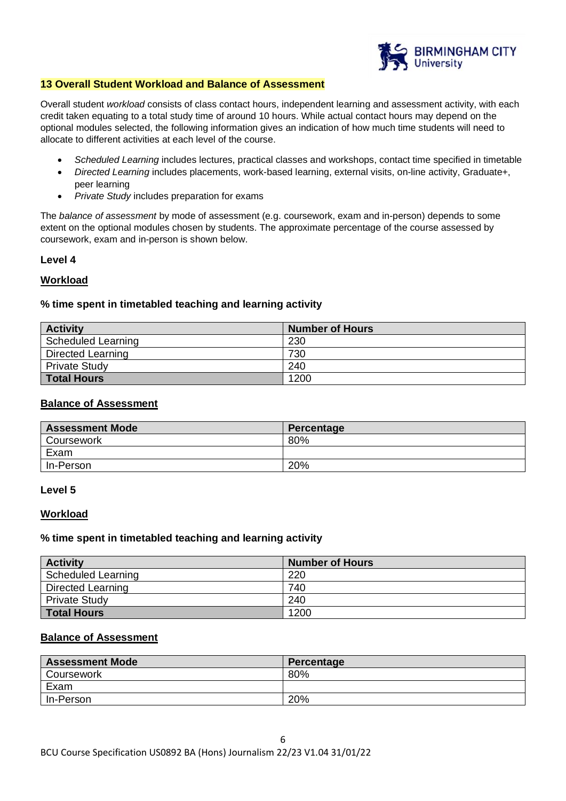

## **13 Overall Student Workload and Balance of Assessment**

Overall student *workload* consists of class contact hours, independent learning and assessment activity, with each credit taken equating to a total study time of around 10 hours. While actual contact hours may depend on the optional modules selected, the following information gives an indication of how much time students will need to allocate to different activities at each level of the course.

- *Scheduled Learning* includes lectures, practical classes and workshops, contact time specified in timetable
- *Directed Learning* includes placements, work-based learning, external visits, on-line activity, Graduate+, peer learning
- *Private Study* includes preparation for exams

The *balance of assessment* by mode of assessment (e.g. coursework, exam and in-person) depends to some extent on the optional modules chosen by students. The approximate percentage of the course assessed by coursework, exam and in-person is shown below.

### **Level 4**

### **Workload**

### **% time spent in timetabled teaching and learning activity**

| <b>Activity</b>          | <b>Number of Hours</b> |
|--------------------------|------------------------|
| Scheduled Learning       | 230                    |
| <b>Directed Learning</b> | 730                    |
| <b>Private Study</b>     | 240                    |
| <b>Total Hours</b>       | 1200                   |

## **Balance of Assessment**

| <b>Assessment Mode</b> | Percentage |
|------------------------|------------|
| Coursework             | 80%        |
| Exam                   |            |
| In-Person              | 20%        |

#### **Level 5**

#### **Workload**

#### **% time spent in timetabled teaching and learning activity**

| <b>Activity</b>           | <b>Number of Hours</b> |
|---------------------------|------------------------|
| <b>Scheduled Learning</b> | 220                    |
| Directed Learning         | 740                    |
| <b>Private Study</b>      | 240                    |
| <b>Total Hours</b>        | 1200                   |

## **Balance of Assessment**

| <b>Assessment Mode</b> | Percentage |
|------------------------|------------|
| Coursework             | 80%        |
| Exam                   |            |
| In-Person              | 20%        |